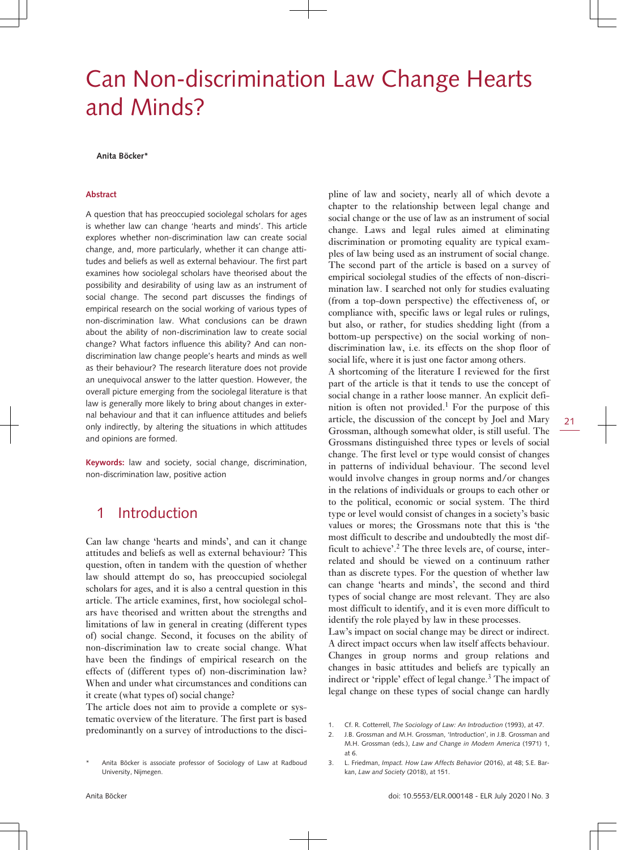# Can Non-discrimination Law Change Hearts and Minds?

**Anita Böcker\***

#### **Abstract**

A question that has preoccupied sociolegal scholars for ages is whether law can change 'hearts and minds'. This article explores whether non-discrimination law can create social change, and, more particularly, whether it can change attitudes and beliefs as well as external behaviour. The first part examines how sociolegal scholars have theorised about the possibility and desirability of using law as an instrument of social change. The second part discusses the findings of empirical research on the social working of various types of non-discrimination law. What conclusions can be drawn about the ability of non-discrimination law to create social change? What factors influence this ability? And can nondiscrimination law change people's hearts and minds as well as their behaviour? The research literature does not provide an unequivocal answer to the latter question. However, the overall picture emerging from the sociolegal literature is that law is generally more likely to bring about changes in external behaviour and that it can influence attitudes and beliefs only indirectly, by altering the situations in which attitudes and opinions are formed.

**Keywords:** law and society, social change, discrimination, non-discrimination law, positive action

### 1 Introduction

Can law change 'hearts and minds', and can it change attitudes and beliefs as well as external behaviour? This question, often in tandem with the question of whether law should attempt do so, has preoccupied sociolegal scholars for ages, and it is also a central question in this article. The article examines, first, how sociolegal scholars have theorised and written about the strengths and limitations of law in general in creating (different types of) social change. Second, it focuses on the ability of non-discrimination law to create social change. What have been the findings of empirical research on the effects of (different types of) non-discrimination law? When and under what circumstances and conditions can it create (what types of) social change?

The article does not aim to provide a complete or systematic overview of the literature. The first part is based predominantly on a survey of introductions to the discipline of law and society, nearly all of which devote a chapter to the relationship between legal change and social change or the use of law as an instrument of social change. Laws and legal rules aimed at eliminating discrimination or promoting equality are typical examples of law being used as an instrument of social change. The second part of the article is based on a survey of empirical sociolegal studies of the effects of non-discrimination law. I searched not only for studies evaluating (from a top-down perspective) the effectiveness of, or compliance with, specific laws or legal rules or rulings, but also, or rather, for studies shedding light (from a bottom-up perspective) on the social working of nondiscrimination law, i.e. its effects on the shop floor of social life, where it is just one factor among others.

A shortcoming of the literature I reviewed for the first part of the article is that it tends to use the concept of social change in a rather loose manner. An explicit definition is often not provided.<sup>1</sup> For the purpose of this article, the discussion of the concept by Joel and Mary Grossman, although somewhat older, is still useful. The Grossmans distinguished three types or levels of social change. The first level or type would consist of changes in patterns of individual behaviour. The second level would involve changes in group norms and/or changes in the relations of individuals or groups to each other or to the political, economic or social system. The third type or level would consist of changes in a society's basic values or mores; the Grossmans note that this is 'the most difficult to describe and undoubtedly the most difficult to achieve'.<sup>2</sup> The three levels are, of course, interrelated and should be viewed on a continuum rather than as discrete types. For the question of whether law can change 'hearts and minds', the second and third types of social change are most relevant. They are also most difficult to identify, and it is even more difficult to identify the role played by law in these processes.

Law's impact on social change may be direct or indirect. A direct impact occurs when law itself affects behaviour. Changes in group norms and group relations and changes in basic attitudes and beliefs are typically an indirect or 'ripple' effect of legal change.<sup>3</sup> The impact of legal change on these types of social change can hardly

Anita Böcker is associate professor of Sociology of Law at Radboud University, Nijmegen.

<sup>1.</sup> Cf. R. Cotterrell, *The Sociology of Law: An Introduction* (1993), at 47.

<sup>2.</sup> J.B. Grossman and M.H. Grossman, 'Introduction', in J.B. Grossman and M.H. Grossman (eds.), *Law and Change in Modern America* (1971) 1, at 6.

<sup>3.</sup> L. Friedman, *Impact. How Law Affects Behavior* (2016), at 48; S.E. Barkan, *Law and Society* (2018), at 151.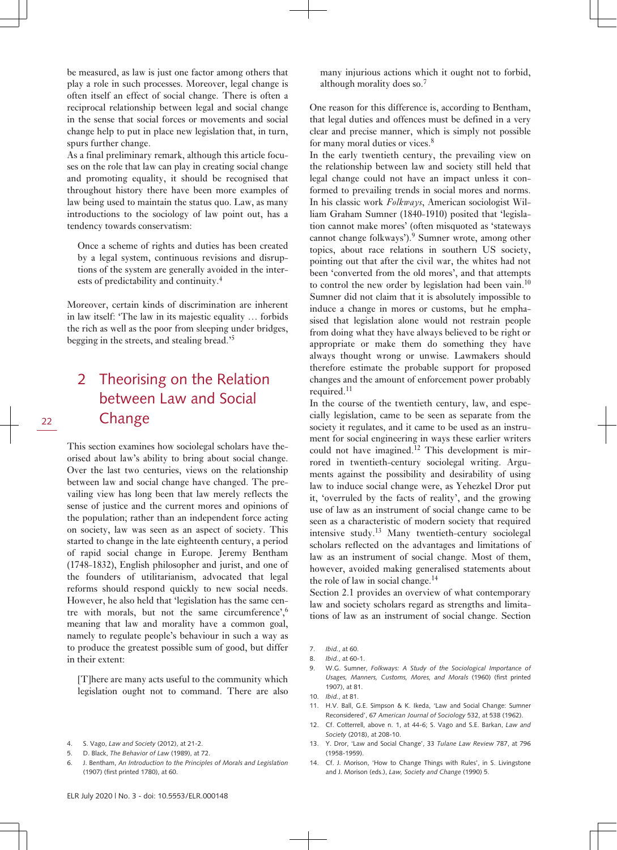be measured, as law is just one factor among others that play a role in such processes. Moreover, legal change is often itself an effect of social change. There is often a reciprocal relationship between legal and social change in the sense that social forces or movements and social change help to put in place new legislation that, in turn, spurs further change.

As a final preliminary remark, although this article focuses on the role that law can play in creating social change and promoting equality, it should be recognised that throughout history there have been more examples of law being used to maintain the status quo. Law, as many introductions to the sociology of law point out, has a tendency towards conservatism:

Once a scheme of rights and duties has been created by a legal system, continuous revisions and disruptions of the system are generally avoided in the interests of predictability and continuity.<sup>4</sup>

Moreover, certain kinds of discrimination are inherent in law itself: 'The law in its majestic equality … forbids the rich as well as the poor from sleeping under bridges, begging in the streets, and stealing bread.'<sup>5</sup>

# 2 Theorising on the Relation between Law and Social **Change**

This section examines how sociolegal scholars have theorised about law's ability to bring about social change. Over the last two centuries, views on the relationship between law and social change have changed. The prevailing view has long been that law merely reflects the sense of justice and the current mores and opinions of the population; rather than an independent force acting on society, law was seen as an aspect of society. This started to change in the late eighteenth century, a period of rapid social change in Europe. Jeremy Bentham (1748-1832), English philosopher and jurist, and one of the founders of utilitarianism, advocated that legal reforms should respond quickly to new social needs. However, he also held that 'legislation has the same centre with morals, but not the same circumference',<sup>6</sup> meaning that law and morality have a common goal, namely to regulate people's behaviour in such a way as to produce the greatest possible sum of good, but differ in their extent:

[T]here are many acts useful to the community which legislation ought not to command. There are also

many injurious actions which it ought not to forbid, although morality does so.<sup>7</sup>

One reason for this difference is, according to Bentham, that legal duties and offences must be defined in a very clear and precise manner, which is simply not possible for many moral duties or vices.<sup>8</sup>

In the early twentieth century, the prevailing view on the relationship between law and society still held that legal change could not have an impact unless it conformed to prevailing trends in social mores and norms. In his classic work *Folkways*, American sociologist William Graham Sumner (1840-1910) posited that 'legislation cannot make mores' (often misquoted as 'stateways cannot change folkways').<sup>9</sup> Sumner wrote, among other topics, about race relations in southern US society, pointing out that after the civil war, the whites had not been 'converted from the old mores', and that attempts to control the new order by legislation had been vain.<sup>10</sup> Sumner did not claim that it is absolutely impossible to induce a change in mores or customs, but he emphasised that legislation alone would not restrain people from doing what they have always believed to be right or appropriate or make them do something they have always thought wrong or unwise. Lawmakers should therefore estimate the probable support for proposed changes and the amount of enforcement power probably required.<sup>11</sup>

In the course of the twentieth century, law, and especially legislation, came to be seen as separate from the society it regulates, and it came to be used as an instrument for social engineering in ways these earlier writers could not have imagined.<sup>12</sup> This development is mirrored in twentieth-century sociolegal writing. Arguments against the possibility and desirability of using law to induce social change were, as Yehezkel Dror put it, 'overruled by the facts of reality', and the growing use of law as an instrument of social change came to be seen as a characteristic of modern society that required intensive study.13 Many twentieth-century sociolegal scholars reflected on the advantages and limitations of law as an instrument of social change. Most of them, however, avoided making generalised statements about the role of law in social change.<sup>14</sup>

Section 2.1 provides an overview of what contemporary law and society scholars regard as strengths and limitations of law as an instrument of social change. Section

- 11. H.V. Ball, G.E. Simpson & K. Ikeda, 'Law and Social Change: Sumner Reconsidered', 67 *American Journal of Sociology* 532, at 538 (1962).
- 12. Cf. Cotterrell, above n. 1, at 44-6; S. Vago and S.E. Barkan, *Law and Society* (2018), at 208-10.
- 13. Y. Dror, 'Law and Social Change', 33 *Tulane Law Review* 787, at 796 (1958-1959).
- 14. Cf. J. Morison, 'How to Change Things with Rules', in S. Livingstone and J. Morison (eds.), *Law, Society and Change* (1990) 5.

<sup>4.</sup> S. Vago, *Law and Society* (2012), at 21-2.

<sup>5.</sup> D. Black, *The Behavior of Law* (1989), at 72.

<sup>6.</sup> J. Bentham, *An Introduction to the Principles of Morals and Legislation* (1907) (first printed 1780), at 60.

<sup>7.</sup> *Ibid.*, at 60.

<sup>8.</sup> *Ibid.*, at 60-1.

<sup>9.</sup> W.G. Sumner, *Folkways: A Study of the Sociological Importance of Usages, Manners, Customs, Mores, and Morals* (1960) (first printed 1907), at 81.

<sup>10.</sup> *Ibid.*, at 81.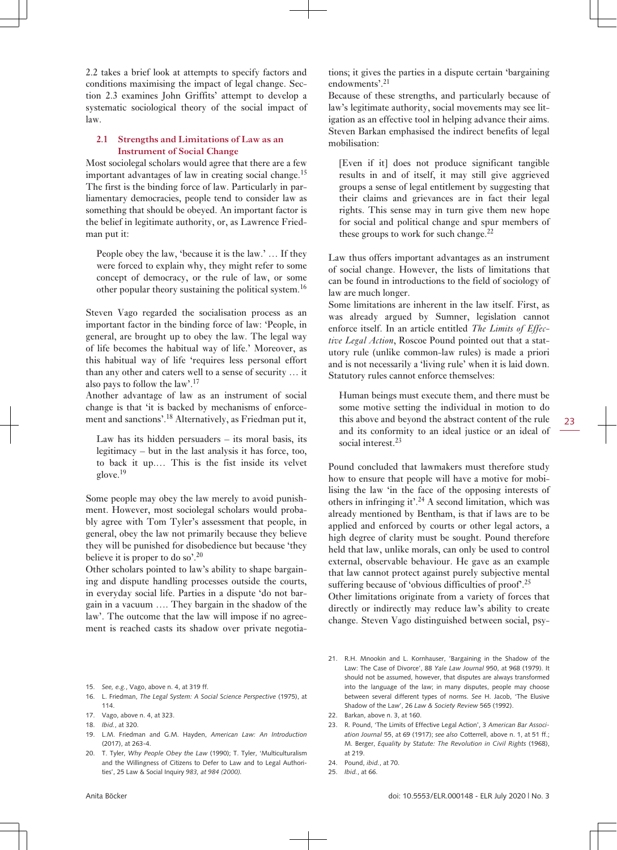2.2 takes a brief look at attempts to specify factors and conditions maximising the impact of legal change. Section 2.3 examines John Griffits' attempt to develop a systematic sociological theory of the social impact of law.

### **2.1 Strengths and Limitations of Law as an Instrument of Social Change**

Most sociolegal scholars would agree that there are a few important advantages of law in creating social change.<sup>15</sup> The first is the binding force of law. Particularly in parliamentary democracies, people tend to consider law as something that should be obeyed. An important factor is the belief in legitimate authority, or, as Lawrence Friedman put it:

People obey the law, 'because it is the law.' … If they were forced to explain why, they might refer to some concept of democracy, or the rule of law, or some other popular theory sustaining the political system.<sup>16</sup>

Steven Vago regarded the socialisation process as an important factor in the binding force of law: 'People, in general, are brought up to obey the law. The legal way of life becomes the habitual way of life.' Moreover, as this habitual way of life 'requires less personal effort than any other and caters well to a sense of security … it also pays to follow the law'.<sup>17</sup>

Another advantage of law as an instrument of social change is that 'it is backed by mechanisms of enforcement and sanctions'.18 Alternatively, as Friedman put it,

Law has its hidden persuaders  $-$  its moral basis, its legitimacy – but in the last analysis it has force, too, to back it up.… This is the fist inside its velvet glove.<sup>19</sup>

Some people may obey the law merely to avoid punishment. However, most sociolegal scholars would probably agree with Tom Tyler's assessment that people, in general, obey the law not primarily because they believe they will be punished for disobedience but because 'they believe it is proper to do so'.<sup>20</sup>

Other scholars pointed to law's ability to shape bargaining and dispute handling processes outside the courts, in everyday social life. Parties in a dispute 'do not bargain in a vacuum …. They bargain in the shadow of the law'. The outcome that the law will impose if no agreement is reached casts its shadow over private negotia-

- 15. *See, e.g.*, Vago, above n. 4, at 319 ff.
- 16. L. Friedman, *The Legal System: A Social Science Perspective* (1975), at 114.
- 17. Vago, above n. 4, at 323.
- 18. *Ibid.*, at 320.
- 19. L.M. Friedman and G.M. Hayden, *American Law: An Introduction*  $(2017)$  at  $263-4$ .
- 20. T. Tyler, *Why People Obey the Law* (1990); T. Tyler, 'Multiculturalism and the Willingness of Citizens to Defer to Law and to Legal Authorities', 25 Law & Social Inquiry *983, at 984 (2000).*

tions; it gives the parties in a dispute certain 'bargaining endowments'.<sup>21</sup>

Because of these strengths, and particularly because of law's legitimate authority, social movements may see litigation as an effective tool in helping advance their aims. Steven Barkan emphasised the indirect benefits of legal mobilisation:

[Even if it] does not produce significant tangible results in and of itself, it may still give aggrieved groups a sense of legal entitlement by suggesting that their claims and grievances are in fact their legal rights. This sense may in turn give them new hope for social and political change and spur members of these groups to work for such change.<sup>22</sup>

Law thus offers important advantages as an instrument of social change. However, the lists of limitations that can be found in introductions to the field of sociology of law are much longer.

Some limitations are inherent in the law itself. First, as was already argued by Sumner, legislation cannot enforce itself. In an article entitled *The Limits of Effective Legal Action*, Roscoe Pound pointed out that a statutory rule (unlike common-law rules) is made a priori and is not necessarily a 'living rule' when it is laid down. Statutory rules cannot enforce themselves:

Human beings must execute them, and there must be some motive setting the individual in motion to do this above and beyond the abstract content of the rule and its conformity to an ideal justice or an ideal of social interest.<sup>23</sup>

Pound concluded that lawmakers must therefore study how to ensure that people will have a motive for mobilising the law 'in the face of the opposing interests of others in infringing it'.<sup>24</sup> A second limitation, which was already mentioned by Bentham, is that if laws are to be applied and enforced by courts or other legal actors, a high degree of clarity must be sought. Pound therefore held that law, unlike morals, can only be used to control external, observable behaviour. He gave as an example that law cannot protect against purely subjective mental suffering because of 'obvious difficulties of proof'.<sup>25</sup>

Other limitations originate from a variety of forces that directly or indirectly may reduce law's ability to create change. Steven Vago distinguished between social, psy-

- 21. R.H. Mnookin and L. Kornhauser, 'Bargaining in the Shadow of the Law: The Case of Divorce', 88 *Yale Law Journal* 950, at 968 (1979). It should not be assumed, however, that disputes are always transformed into the language of the law; in many disputes, people may choose between several different types of norms. *See* H. Jacob, 'The Elusive Shadow of the Law', 26 *Law & Society Review* 565 (1992).
- 22. Barkan, above n. 3, at 160.
- 23. R. Pound, 'The Limits of Effective Legal Action', 3 *American Bar Association Journal* 55, at 69 (1917); *see also* Cotterrell, above n. 1, at 51 ff.; M. Berger, *Equality by Statute: The Revolution in Civil Rights* (1968), at 219.
- 24. Pound, *ibid.*, at 70.
- 25. *Ibid.*, at 66.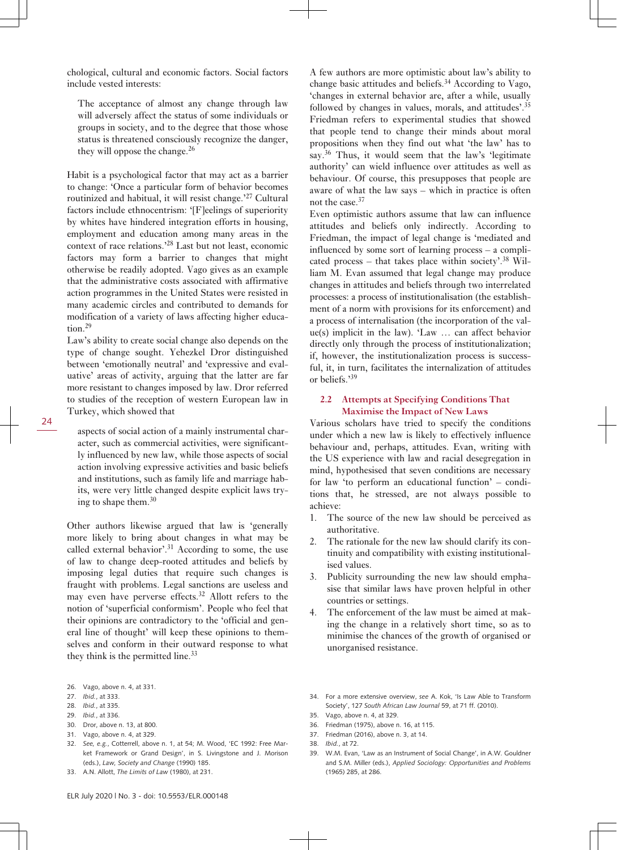chological, cultural and economic factors. Social factors include vested interests:

The acceptance of almost any change through law will adversely affect the status of some individuals or groups in society, and to the degree that those whose status is threatened consciously recognize the danger, they will oppose the change. $^{26}$ 

Habit is a psychological factor that may act as a barrier to change: 'Once a particular form of behavior becomes routinized and habitual, it will resist change.'<sup>27</sup> Cultural factors include ethnocentrism: '[F]eelings of superiority by whites have hindered integration efforts in housing, employment and education among many areas in the context of race relations.'<sup>28</sup> Last but not least, economic factors may form a barrier to changes that might otherwise be readily adopted. Vago gives as an example that the administrative costs associated with affirmative action programmes in the United States were resisted in many academic circles and contributed to demands for modification of a variety of laws affecting higher education.<sup>29</sup>

Law's ability to create social change also depends on the type of change sought. Yehezkel Dror distinguished between 'emotionally neutral' and 'expressive and evaluative' areas of activity, arguing that the latter are far more resistant to changes imposed by law. Dror referred to studies of the reception of western European law in Turkey, which showed that

aspects of social action of a mainly instrumental character, such as commercial activities, were significantly influenced by new law, while those aspects of social action involving expressive activities and basic beliefs and institutions, such as family life and marriage habits, were very little changed despite explicit laws trying to shape them.<sup>30</sup>

Other authors likewise argued that law is 'generally more likely to bring about changes in what may be called external behavior'.31 According to some, the use of law to change deep-rooted attitudes and beliefs by imposing legal duties that require such changes is fraught with problems. Legal sanctions are useless and may even have perverse effects.32 Allott refers to the notion of 'superficial conformism'. People who feel that their opinions are contradictory to the 'official and general line of thought' will keep these opinions to themselves and conform in their outward response to what they think is the permitted line. $33$ 

- 28. *Ibid.*, at 335.
- 29. *Ibid.*, at 336.
- 30. Dror, above n. 13, at 800.
- 31. Vago, above n. 4, at 329.
- 32. *See, e.g.*, Cotterrell, above n. 1, at 54; M. Wood, 'EC 1992: Free Market Framework or Grand Design', in S. Livingstone and J. Morison (eds.), *Law, Society and Change* (1990) 185.
- 33. A.N. Allott, *The Limits of Law* (1980), at 231.

A few authors are more optimistic about law's ability to change basic attitudes and beliefs.<sup>34</sup> According to Vago, 'changes in external behavior are, after a while, usually followed by changes in values, morals, and attitudes'.<sup>35</sup> Friedman refers to experimental studies that showed that people tend to change their minds about moral propositions when they find out what 'the law' has to say.<sup>36</sup> Thus, it would seem that the law's 'legitimate authority' can wield influence over attitudes as well as behaviour. Of course, this presupposes that people are aware of what the law says – which in practice is often not the case.<sup>37</sup>

Even optimistic authors assume that law can influence attitudes and beliefs only indirectly. According to Friedman, the impact of legal change is 'mediated and influenced by some sort of learning process – a complicated process – that takes place within society'.<sup>38</sup> William M. Evan assumed that legal change may produce changes in attitudes and beliefs through two interrelated processes: a process of institutionalisation (the establishment of a norm with provisions for its enforcement) and a process of internalisation (the incorporation of the value(s) implicit in the law). 'Law … can affect behavior directly only through the process of institutionalization; if, however, the institutionalization process is successful, it, in turn, facilitates the internalization of attitudes or beliefs.'<sup>39</sup>

### **2.2 Attempts at Specifying Conditions That Maximise the Impact of New Laws**

Various scholars have tried to specify the conditions under which a new law is likely to effectively influence behaviour and, perhaps, attitudes. Evan, writing with the US experience with law and racial desegregation in mind, hypothesised that seven conditions are necessary for law 'to perform an educational function' – conditions that, he stressed, are not always possible to achieve:

- 1. The source of the new law should be perceived as authoritative.
- 2. The rationale for the new law should clarify its continuity and compatibility with existing institutionalised values.
- 3. Publicity surrounding the new law should emphasise that similar laws have proven helpful in other countries or settings.
- 4. The enforcement of the law must be aimed at making the change in a relatively short time, so as to minimise the chances of the growth of organised or unorganised resistance.
- 34. For a more extensive overview, *see* A. Kok, 'Is Law Able to Transform Society', 127 *South African Law Journal* 59, at 71 ff. (2010).
- 35. Vago, above n. 4, at 329.
- 36. Friedman (1975), above n. 16, at 115.
- 37. Friedman (2016), above n. 3, at 14.
- 38. *Ibid.*, at 72.
- 39. W.M. Evan, 'Law as an Instrument of Social Change', in A.W. Gouldner and S.M. Miller (eds.), *Applied Sociology: Opportunities and Problems* (1965) 285, at 286.

<sup>26.</sup> Vago, above n. 4, at 331.

<sup>27.</sup> *Ibid.*, at 333.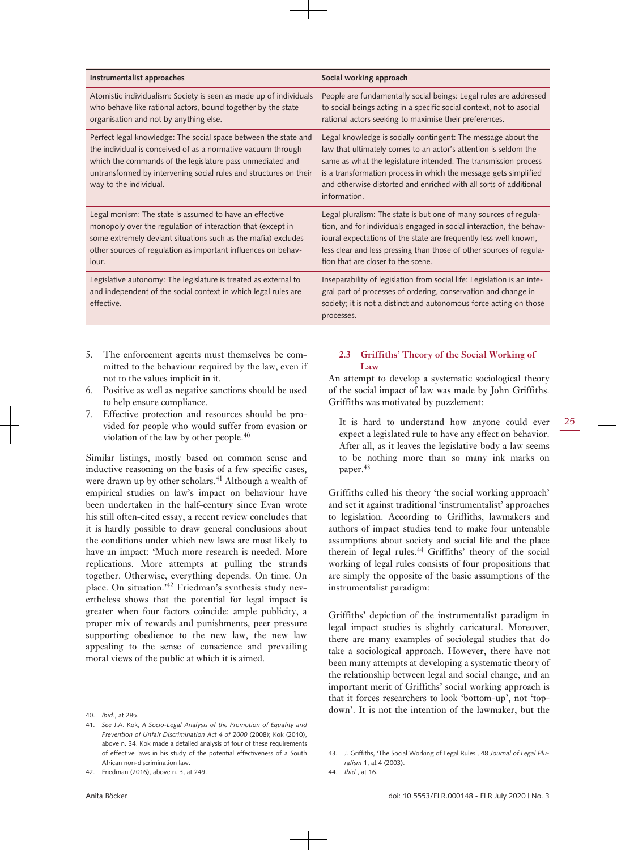| Instrumentalist approaches                                                                                                                                                                                                                                                                  | Social working approach                                                                                                                                                                                                                                                                                                                                      |
|---------------------------------------------------------------------------------------------------------------------------------------------------------------------------------------------------------------------------------------------------------------------------------------------|--------------------------------------------------------------------------------------------------------------------------------------------------------------------------------------------------------------------------------------------------------------------------------------------------------------------------------------------------------------|
| Atomistic individualism: Society is seen as made up of individuals<br>who behave like rational actors, bound together by the state<br>organisation and not by anything else.                                                                                                                | People are fundamentally social beings: Legal rules are addressed<br>to social beings acting in a specific social context, not to asocial<br>rational actors seeking to maximise their preferences.                                                                                                                                                          |
| Perfect legal knowledge: The social space between the state and<br>the individual is conceived of as a normative vacuum through<br>which the commands of the legislature pass unmediated and<br>untransformed by intervening social rules and structures on their<br>way to the individual. | Legal knowledge is socially contingent: The message about the<br>law that ultimately comes to an actor's attention is seldom the<br>same as what the legislature intended. The transmission process<br>is a transformation process in which the message gets simplified<br>and otherwise distorted and enriched with all sorts of additional<br>information. |
| Legal monism: The state is assumed to have an effective<br>monopoly over the regulation of interaction that (except in<br>some extremely deviant situations such as the mafia) excludes<br>other sources of regulation as important influences on behav-<br>jour.                           | Legal pluralism: The state is but one of many sources of regula-<br>tion, and for individuals engaged in social interaction, the behav-<br>ioural expectations of the state are frequently less well known,<br>less clear and less pressing than those of other sources of regula-<br>tion that are closer to the scene.                                     |
| Legislative autonomy: The legislature is treated as external to<br>and independent of the social context in which legal rules are<br>effective.                                                                                                                                             | Inseparability of legislation from social life: Legislation is an inte-<br>gral part of processes of ordering, conservation and change in<br>society; it is not a distinct and autonomous force acting on those<br>processes.                                                                                                                                |
|                                                                                                                                                                                                                                                                                             | <b>SALES</b>                                                                                                                                                                                                                                                                                                                                                 |

- 5. The enforcement agents must themselves be committed to the behaviour required by the law, even if not to the values implicit in it.
- 6. Positive as well as negative sanctions should be used to help ensure compliance.
- 7. Effective protection and resources should be provided for people who would suffer from evasion or violation of the law by other people.<sup>40</sup>

Similar listings, mostly based on common sense and inductive reasoning on the basis of a few specific cases, were drawn up by other scholars.<sup>41</sup> Although a wealth of empirical studies on law's impact on behaviour have been undertaken in the half-century since Evan wrote his still often-cited essay, a recent review concludes that it is hardly possible to draw general conclusions about the conditions under which new laws are most likely to have an impact: 'Much more research is needed. More replications. More attempts at pulling the strands together. Otherwise, everything depends. On time. On place. On situation.'42 Friedman's synthesis study nevertheless shows that the potential for legal impact is greater when four factors coincide: ample publicity, a proper mix of rewards and punishments, peer pressure supporting obedience to the new law, the new law appealing to the sense of conscience and prevailing moral views of the public at which it is aimed.

### **2.3 Griffiths' Theory of the Social Working of Law**

An attempt to develop a systematic sociological theory of the social impact of law was made by John Griffiths. Griffiths was motivated by puzzlement:

It is hard to understand how anyone could ever expect a legislated rule to have any effect on behavior. After all, as it leaves the legislative body a law seems to be nothing more than so many ink marks on paper.<sup>43</sup>

Griffiths called his theory 'the social working approach' and set it against traditional 'instrumentalist' approaches to legislation. According to Griffiths, lawmakers and authors of impact studies tend to make four untenable assumptions about society and social life and the place therein of legal rules.44 Griffiths' theory of the social working of legal rules consists of four propositions that are simply the opposite of the basic assumptions of the instrumentalist paradigm:

Griffiths' depiction of the instrumentalist paradigm in legal impact studies is slightly caricatural. Moreover, there are many examples of sociolegal studies that do take a sociological approach. However, there have not been many attempts at developing a systematic theory of the relationship between legal and social change, and an important merit of Griffiths' social working approach is that it forces researchers to look 'bottom-up', not 'topdown'. It is not the intention of the lawmaker, but the

<sup>40.</sup> *Ibid.*, at 285.

<sup>41.</sup> *See* J.A. Kok, *A Socio-Legal Analysis of the Promotion of Equality and Prevention of Unfair Discrimination Act 4 of 2000* (2008); Kok (2010), above n. 34. Kok made a detailed analysis of four of these requirements of effective laws in his study of the potential effectiveness of a South African non-discrimination law.

<sup>42.</sup> Friedman (2016), above n. 3, at 249.

<sup>43.</sup> J. Griffiths, 'The Social Working of Legal Rules', 48 *Journal of Legal Pluralism* 1, at 4 (2003).

<sup>44.</sup> *Ibid.*, at 16.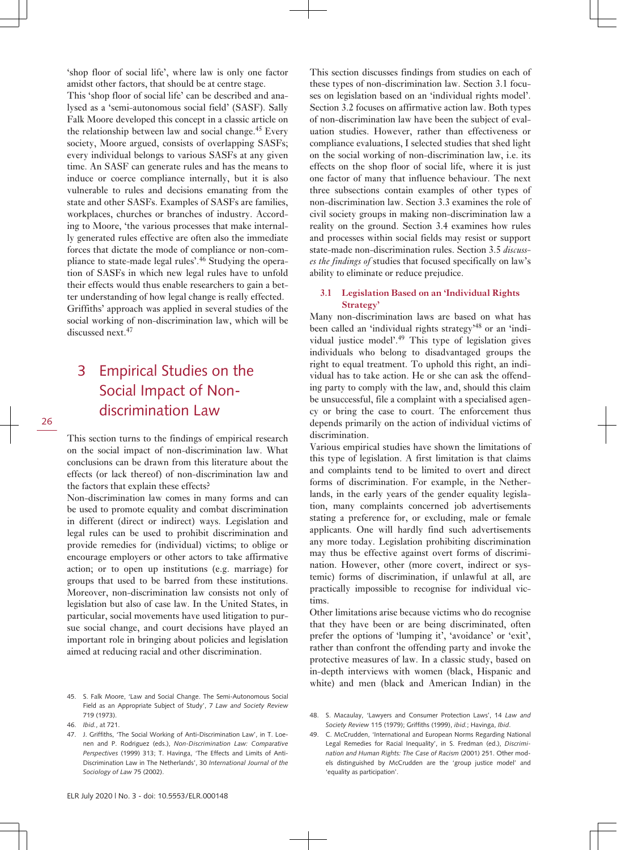'shop floor of social life', where law is only one factor amidst other factors, that should be at centre stage.

This 'shop floor of social life' can be described and analysed as a 'semi-autonomous social field' (SASF). Sally Falk Moore developed this concept in a classic article on the relationship between law and social change.<sup>45</sup> Every society, Moore argued, consists of overlapping SASFs; every individual belongs to various SASFs at any given time. An SASF can generate rules and has the means to induce or coerce compliance internally, but it is also vulnerable to rules and decisions emanating from the state and other SASFs. Examples of SASFs are families, workplaces, churches or branches of industry. According to Moore, 'the various processes that make internally generated rules effective are often also the immediate forces that dictate the mode of compliance or non-compliance to state-made legal rules'.46 Studying the operation of SASFs in which new legal rules have to unfold their effects would thus enable researchers to gain a better understanding of how legal change is really effected. Griffiths' approach was applied in several studies of the social working of non-discrimination law, which will be discussed next.<sup>47</sup>

## 3 Empirical Studies on the Social Impact of Nondiscrimination Law

26

This section turns to the findings of empirical research on the social impact of non-discrimination law. What conclusions can be drawn from this literature about the effects (or lack thereof) of non-discrimination law and the factors that explain these effects?

Non-discrimination law comes in many forms and can be used to promote equality and combat discrimination in different (direct or indirect) ways. Legislation and legal rules can be used to prohibit discrimination and provide remedies for (individual) victims; to oblige or encourage employers or other actors to take affirmative action; or to open up institutions (e.g. marriage) for groups that used to be barred from these institutions. Moreover, non-discrimination law consists not only of legislation but also of case law. In the United States, in particular, social movements have used litigation to pursue social change, and court decisions have played an important role in bringing about policies and legislation aimed at reducing racial and other discrimination.

This section discusses findings from studies on each of these types of non-discrimination law. Section 3.1 focuses on legislation based on an 'individual rights model'. Section 3.2 focuses on affirmative action law. Both types of non-discrimination law have been the subject of evaluation studies. However, rather than effectiveness or compliance evaluations, I selected studies that shed light on the social working of non-discrimination law, i.e. its effects on the shop floor of social life, where it is just one factor of many that influence behaviour. The next three subsections contain examples of other types of non-discrimination law. Section 3.3 examines the role of civil society groups in making non-discrimination law a reality on the ground. Section 3.4 examines how rules and processes within social fields may resist or support state-made non-discrimination rules. Section 3.5 *discusses the findings of* studies that focused specifically on law's ability to eliminate or reduce prejudice.

### **3.1 Legislation Based on an 'Individual Rights Strategy'**

Many non-discrimination laws are based on what has been called an 'individual rights strategy'48 or an 'individual justice model'.<sup>49</sup> This type of legislation gives individuals who belong to disadvantaged groups the right to equal treatment. To uphold this right, an individual has to take action. He or she can ask the offending party to comply with the law, and, should this claim be unsuccessful, file a complaint with a specialised agency or bring the case to court. The enforcement thus depends primarily on the action of individual victims of discrimination.

Various empirical studies have shown the limitations of this type of legislation. A first limitation is that claims and complaints tend to be limited to overt and direct forms of discrimination. For example, in the Netherlands, in the early years of the gender equality legislation, many complaints concerned job advertisements stating a preference for, or excluding, male or female applicants. One will hardly find such advertisements any more today. Legislation prohibiting discrimination may thus be effective against overt forms of discrimination. However, other (more covert, indirect or systemic) forms of discrimination, if unlawful at all, are practically impossible to recognise for individual victims.

Other limitations arise because victims who do recognise that they have been or are being discriminated, often prefer the options of 'lumping it', 'avoidance' or 'exit', rather than confront the offending party and invoke the protective measures of law. In a classic study, based on in-depth interviews with women (black, Hispanic and white) and men (black and American Indian) in the

<sup>45.</sup> S. Falk Moore, 'Law and Social Change. The Semi-Autonomous Social Field as an Appropriate Subject of Study', 7 *Law and Society Review* 719 (1973).

<sup>46.</sup> *Ibid.*, at 721.

<sup>47.</sup> J. Griffiths, 'The Social Working of Anti-Discrimination Law', in T. Loenen and P. Rodriguez (eds.), *Non-Discrimination Law: Comparative Perspectives* (1999) 313; T. Havinga, 'The Effects and Limits of Anti-Discrimination Law in The Netherlands', 30 *International Journal of the Sociology of Law* 75 (2002).

<sup>48.</sup> S. Macaulay, 'Lawyers and Consumer Protection Laws', 14 *Law and Society Review* 115 (1979); Griffiths (1999), *ibid.*; Havinga, *Ibid*.

<sup>49.</sup> C. McCrudden, 'International and European Norms Regarding National Legal Remedies for Racial Inequality', in S. Fredman (ed.), *Discrimination and Human Rights: The Case of Racism* (2001) 251. Other models distinguished by McCrudden are the 'group justice model' and 'equality as participation'.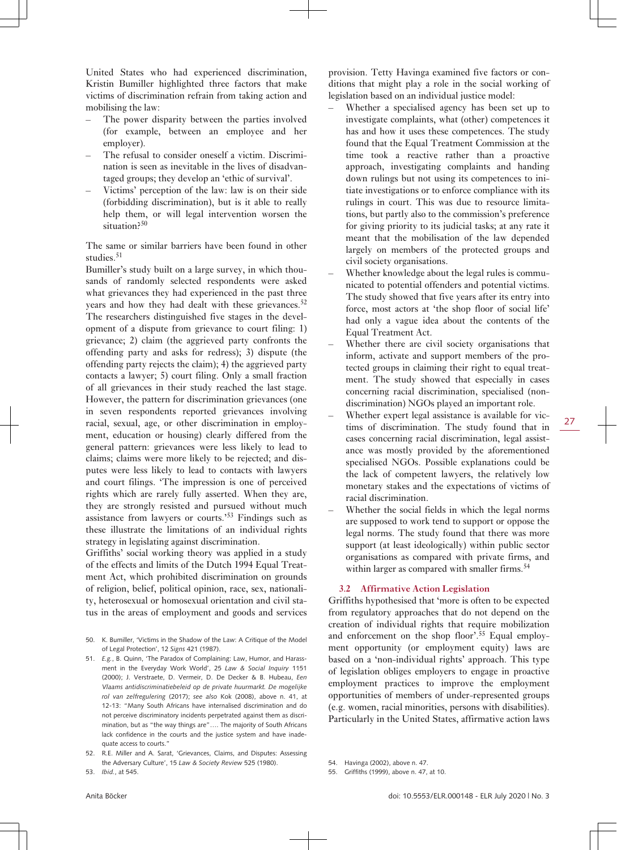United States who had experienced discrimination, Kristin Bumiller highlighted three factors that make victims of discrimination refrain from taking action and mobilising the law:

- The power disparity between the parties involved (for example, between an employee and her employer).
- The refusal to consider oneself a victim. Discrimination is seen as inevitable in the lives of disadvantaged groups; they develop an 'ethic of survival'.
- Victims' perception of the law: law is on their side (forbidding discrimination), but is it able to really help them, or will legal intervention worsen the situation?<sup>50</sup>

The same or similar barriers have been found in other studies.<sup>51</sup>

Bumiller's study built on a large survey, in which thousands of randomly selected respondents were asked what grievances they had experienced in the past three years and how they had dealt with these grievances. $52$ The researchers distinguished five stages in the development of a dispute from grievance to court filing: 1) grievance; 2) claim (the aggrieved party confronts the offending party and asks for redress); 3) dispute (the offending party rejects the claim); 4) the aggrieved party contacts a lawyer; 5) court filing. Only a small fraction of all grievances in their study reached the last stage. However, the pattern for discrimination grievances (one in seven respondents reported grievances involving racial, sexual, age, or other discrimination in employment, education or housing) clearly differed from the general pattern: grievances were less likely to lead to claims; claims were more likely to be rejected; and disputes were less likely to lead to contacts with lawyers and court filings. 'The impression is one of perceived rights which are rarely fully asserted. When they are, they are strongly resisted and pursued without much assistance from lawyers or courts.'53 Findings such as these illustrate the limitations of an individual rights strategy in legislating against discrimination.

Griffiths' social working theory was applied in a study of the effects and limits of the Dutch 1994 Equal Treatment Act, which prohibited discrimination on grounds of religion, belief, political opinion, race, sex, nationality, heterosexual or homosexual orientation and civil status in the areas of employment and goods and services

- 50. K. Bumiller, 'Victims in the Shadow of the Law: A Critique of the Model of Legal Protection', 12 *Signs* 421 (1987).
- 51. *E.g.*, B. Quinn, 'The Paradox of Complaining: Law, Humor, and Harassment in the Everyday Work World', 25 *Law & Social Inquiry* 1151 (2000); J. Verstraete, D. Vermeir, D. De Decker & B. Hubeau, *Een Vlaams antidiscriminatiebeleid op de private huurmarkt. De mogelijke rol van zelfregulering* (2017); *see also* Kok (2008), above n. 41, at 12-13: "Many South Africans have internalised discrimination and do not perceive discriminatory incidents perpetrated against them as discrimination, but as "the way things are"…. The majority of South Africans lack confidence in the courts and the justice system and have inadequate access to courts."
- 52. R.E. Miller and A. Sarat, 'Grievances, Claims, and Disputes: Assessing the Adversary Culture', 15 *Law & Society Review* 525 (1980).

provision. Tetty Havinga examined five factors or conditions that might play a role in the social working of legislation based on an individual justice model:

- Whether a specialised agency has been set up to investigate complaints, what (other) competences it has and how it uses these competences. The study found that the Equal Treatment Commission at the time took a reactive rather than a proactive approach, investigating complaints and handing down rulings but not using its competences to initiate investigations or to enforce compliance with its rulings in court. This was due to resource limitations, but partly also to the commission's preference for giving priority to its judicial tasks; at any rate it meant that the mobilisation of the law depended largely on members of the protected groups and civil society organisations.
- Whether knowledge about the legal rules is communicated to potential offenders and potential victims. The study showed that five years after its entry into force, most actors at 'the shop floor of social life' had only a vague idea about the contents of the Equal Treatment Act.
- Whether there are civil society organisations that inform, activate and support members of the protected groups in claiming their right to equal treatment. The study showed that especially in cases concerning racial discrimination, specialised (nondiscrimination) NGOs played an important role.
- Whether expert legal assistance is available for victims of discrimination. The study found that in cases concerning racial discrimination, legal assistance was mostly provided by the aforementioned specialised NGOs. Possible explanations could be the lack of competent lawyers, the relatively low monetary stakes and the expectations of victims of racial discrimination.
- Whether the social fields in which the legal norms are supposed to work tend to support or oppose the legal norms. The study found that there was more support (at least ideologically) within public sector organisations as compared with private firms, and within larger as compared with smaller firms.<sup>54</sup>

### **3.2 Affirmative Action Legislation**

Griffiths hypothesised that 'more is often to be expected from regulatory approaches that do not depend on the creation of individual rights that require mobilization and enforcement on the shop floor'.<sup>55</sup> Equal employment opportunity (or employment equity) laws are based on a 'non-individual rights' approach. This type of legislation obliges employers to engage in proactive employment practices to improve the employment opportunities of members of under-represented groups (e.g. women, racial minorities, persons with disabilities). Particularly in the United States, affirmative action laws

55. Griffiths (1999), above n. 47, at 10.

27

<sup>53.</sup> *Ibid.*, at 545.

<sup>54.</sup> Havinga (2002), above n. 47.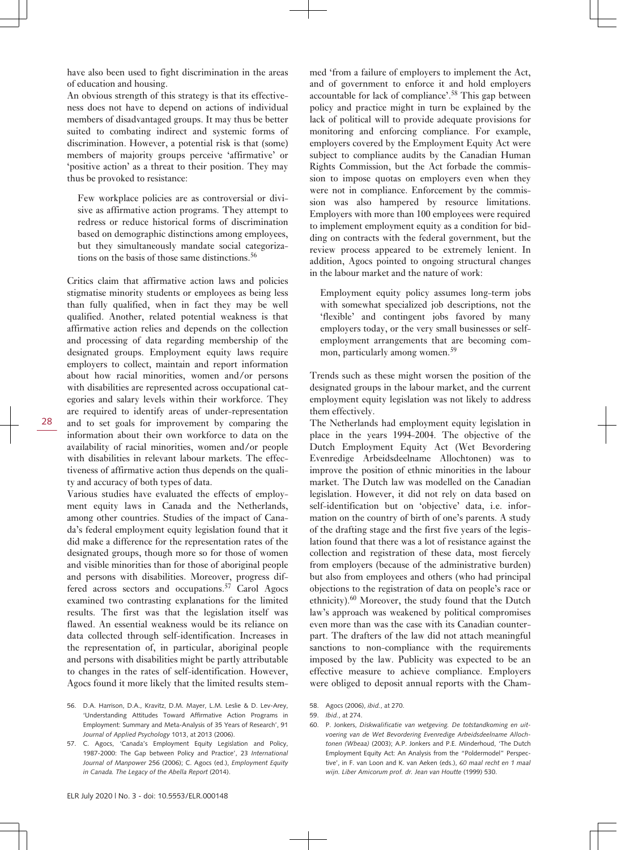have also been used to fight discrimination in the areas of education and housing.

An obvious strength of this strategy is that its effectiveness does not have to depend on actions of individual members of disadvantaged groups. It may thus be better suited to combating indirect and systemic forms of discrimination. However, a potential risk is that (some) members of majority groups perceive 'affirmative' or 'positive action' as a threat to their position. They may thus be provoked to resistance:

Few workplace policies are as controversial or divisive as affirmative action programs. They attempt to redress or reduce historical forms of discrimination based on demographic distinctions among employees, but they simultaneously mandate social categorizations on the basis of those same distinctions.<sup>56</sup>

Critics claim that affirmative action laws and policies stigmatise minority students or employees as being less than fully qualified, when in fact they may be well qualified. Another, related potential weakness is that affirmative action relies and depends on the collection and processing of data regarding membership of the designated groups. Employment equity laws require employers to collect, maintain and report information about how racial minorities, women and/or persons with disabilities are represented across occupational categories and salary levels within their workforce. They are required to identify areas of under-representation and to set goals for improvement by comparing the information about their own workforce to data on the availability of racial minorities, women and/or people with disabilities in relevant labour markets. The effectiveness of affirmative action thus depends on the quality and accuracy of both types of data.

Various studies have evaluated the effects of employment equity laws in Canada and the Netherlands, among other countries. Studies of the impact of Canada's federal employment equity legislation found that it did make a difference for the representation rates of the designated groups, though more so for those of women and visible minorities than for those of aboriginal people and persons with disabilities. Moreover, progress differed across sectors and occupations.<sup>57</sup> Carol Agocs examined two contrasting explanations for the limited results. The first was that the legislation itself was flawed. An essential weakness would be its reliance on data collected through self-identification. Increases in the representation of, in particular, aboriginal people and persons with disabilities might be partly attributable to changes in the rates of self-identification. However, Agocs found it more likely that the limited results stemmed 'from a failure of employers to implement the Act, and of government to enforce it and hold employers accountable for lack of compliance'.<sup>58</sup> This gap between policy and practice might in turn be explained by the lack of political will to provide adequate provisions for monitoring and enforcing compliance. For example, employers covered by the Employment Equity Act were subject to compliance audits by the Canadian Human Rights Commission, but the Act forbade the commission to impose quotas on employers even when they were not in compliance. Enforcement by the commission was also hampered by resource limitations. Employers with more than 100 employees were required to implement employment equity as a condition for bidding on contracts with the federal government, but the review process appeared to be extremely lenient. In addition, Agocs pointed to ongoing structural changes in the labour market and the nature of work:

Employment equity policy assumes long-term jobs with somewhat specialized job descriptions, not the 'flexible' and contingent jobs favored by many employers today, or the very small businesses or selfemployment arrangements that are becoming common, particularly among women.<sup>59</sup>

Trends such as these might worsen the position of the designated groups in the labour market, and the current employment equity legislation was not likely to address them effectively.

The Netherlands had employment equity legislation in place in the years 1994-2004. The objective of the Dutch Employment Equity Act (Wet Bevordering Evenredige Arbeidsdeelname Allochtonen) was to improve the position of ethnic minorities in the labour market. The Dutch law was modelled on the Canadian legislation. However, it did not rely on data based on self-identification but on 'objective' data, i.e. information on the country of birth of one's parents. A study of the drafting stage and the first five years of the legislation found that there was a lot of resistance against the collection and registration of these data, most fiercely from employers (because of the administrative burden) but also from employees and others (who had principal objections to the registration of data on people's race or ethnicity).60 Moreover, the study found that the Dutch law's approach was weakened by political compromises even more than was the case with its Canadian counterpart. The drafters of the law did not attach meaningful sanctions to non-compliance with the requirements imposed by the law. Publicity was expected to be an effective measure to achieve compliance. Employers were obliged to deposit annual reports with the Cham-

<sup>56.</sup> D.A. Harrison, D.A., Kravitz, D.M. Mayer, L.M. Leslie & D. Lev-Arey, 'Understanding Attitudes Toward Affirmative Action Programs in Employment: Summary and Meta-Analysis of 35 Years of Research', 91 *Journal of Applied Psychology* 1013, at 2013 (2006).

<sup>57.</sup> C. Agocs, 'Canada's Employment Equity Legislation and Policy, 1987-2000: The Gap between Policy and Practice', 23 *International Journal of Manpower* 256 (2006); C. Agocs (ed.), *Employment Equity in Canada. The Legacy of the Abella Report* (2014).

<sup>58.</sup> Agocs (2006), *ibid.*, at 270.

<sup>59.</sup> *Ibid.*, at 274.

<sup>60.</sup> P. Jonkers, *Diskwalificatie van wetgeving. De totstandkoming en uitvoering van de Wet Bevordering Evenredige Arbeidsdeelname Allochtonen (Wbeaa)* (2003); A.P. Jonkers and P.E. Minderhoud, 'The Dutch Employment Equity Act: An Analysis from the "Poldermodel" Perspective', in F. van Loon and K. van Aeken (eds.), *60 maal recht en 1 maal wijn. Liber Amicorum prof. dr. Jean van Houtte* (1999) 530.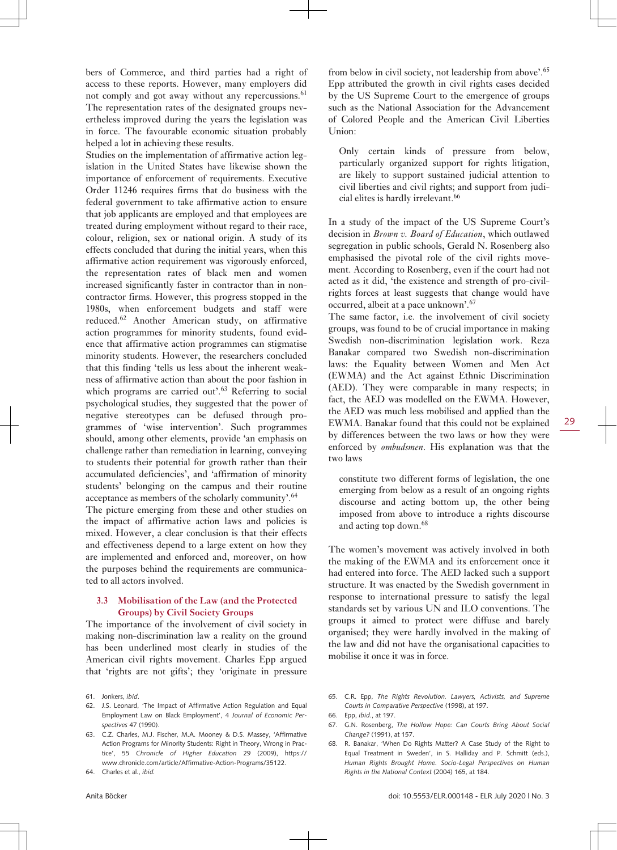bers of Commerce, and third parties had a right of access to these reports. However, many employers did not comply and got away without any repercussions.<sup>61</sup> The representation rates of the designated groups nevertheless improved during the years the legislation was in force. The favourable economic situation probably helped a lot in achieving these results.

Studies on the implementation of affirmative action legislation in the United States have likewise shown the importance of enforcement of requirements. Executive Order 11246 requires firms that do business with the federal government to take affirmative action to ensure that job applicants are employed and that employees are treated during employment without regard to their race, colour, religion, sex or national origin. A study of its effects concluded that during the initial years, when this affirmative action requirement was vigorously enforced, the representation rates of black men and women increased significantly faster in contractor than in noncontractor firms. However, this progress stopped in the 1980s, when enforcement budgets and staff were reduced.<sup>62</sup> Another American study, on affirmative action programmes for minority students, found evidence that affirmative action programmes can stigmatise minority students. However, the researchers concluded that this finding 'tells us less about the inherent weakness of affirmative action than about the poor fashion in which programs are carried out'.<sup>63</sup> Referring to social psychological studies, they suggested that the power of negative stereotypes can be defused through programmes of 'wise intervention'. Such programmes should, among other elements, provide 'an emphasis on challenge rather than remediation in learning, conveying to students their potential for growth rather than their accumulated deficiencies', and 'affirmation of minority students' belonging on the campus and their routine acceptance as members of the scholarly community'.<sup>64</sup>

The picture emerging from these and other studies on the impact of affirmative action laws and policies is mixed. However, a clear conclusion is that their effects and effectiveness depend to a large extent on how they are implemented and enforced and, moreover, on how the purposes behind the requirements are communicated to all actors involved.

### **3.3 Mobilisation of the Law (and the Protected Groups) by Civil Society Groups**

The importance of the involvement of civil society in making non-discrimination law a reality on the ground has been underlined most clearly in studies of the American civil rights movement. Charles Epp argued that 'rights are not gifts'; they 'originate in pressure

- 62. J.S. Leonard, 'The Impact of Affirmative Action Regulation and Equal Employment Law on Black Employment', 4 *Journal of Economic Perspectives* 47 (1990).
- 63. C.Z. Charles, M.J. Fischer, M.A. Mooney & D.S. Massey, 'Affirmative Action Programs for Minority Students: Right in Theory, Wrong in Practice', 55 *Chronicle of Higher Education* 29 (2009), [https://](https://www.chronicle.com/article/Affirmative-Action-Programs/35122) [www.chronicle.com/article/Affirmative-Action-Programs/35122.](https://www.chronicle.com/article/Affirmative-Action-Programs/35122)

64. Charles et al., *ibid.*

from below in civil society, not leadership from above'.<sup>65</sup> Epp attributed the growth in civil rights cases decided by the US Supreme Court to the emergence of groups such as the National Association for the Advancement of Colored People and the American Civil Liberties Union:

Only certain kinds of pressure from below, particularly organized support for rights litigation, are likely to support sustained judicial attention to civil liberties and civil rights; and support from judicial elites is hardly irrelevant.<sup>66</sup>

In a study of the impact of the US Supreme Court's decision in *Brown v. Board of Education*, which outlawed segregation in public schools, Gerald N. Rosenberg also emphasised the pivotal role of the civil rights movement. According to Rosenberg, even if the court had not acted as it did, 'the existence and strength of pro-civilrights forces at least suggests that change would have occurred, albeit at a pace unknown'.<sup>67</sup>

The same factor, i.e. the involvement of civil society groups, was found to be of crucial importance in making Swedish non-discrimination legislation work. Reza Banakar compared two Swedish non-discrimination laws: the Equality between Women and Men Act (EWMA) and the Act against Ethnic Discrimination (AED). They were comparable in many respects; in fact, the AED was modelled on the EWMA. However, the AED was much less mobilised and applied than the EWMA. Banakar found that this could not be explained by differences between the two laws or how they were enforced by *ombudsmen*. His explanation was that the two laws

constitute two different forms of legislation, the one emerging from below as a result of an ongoing rights discourse and acting bottom up, the other being imposed from above to introduce a rights discourse and acting top down.<sup>68</sup>

The women's movement was actively involved in both the making of the EWMA and its enforcement once it had entered into force. The AED lacked such a support structure. It was enacted by the Swedish government in response to international pressure to satisfy the legal standards set by various UN and ILO conventions. The groups it aimed to protect were diffuse and barely organised; they were hardly involved in the making of the law and did not have the organisational capacities to mobilise it once it was in force.

- 65. C.R. Epp, *The Rights Revolution. Lawyers, Activists, and Supreme Courts in Comparative Perspective* (1998), at 197.
- 66. Epp, *ibid.*, at 197.
- 67. G.N. Rosenberg, *The Hollow Hope: Can Courts Bring About Social Change?* (1991), at 157.
- 68. R. Banakar, 'When Do Rights Matter? A Case Study of the Right to Equal Treatment in Sweden', in S. Halliday and P. Schmitt (eds.), *Human Rights Brought Home. Socio-Legal Perspectives on Human Rights in the National Context* (2004) 165, at 184.

<sup>61.</sup> Jonkers, *ibid*.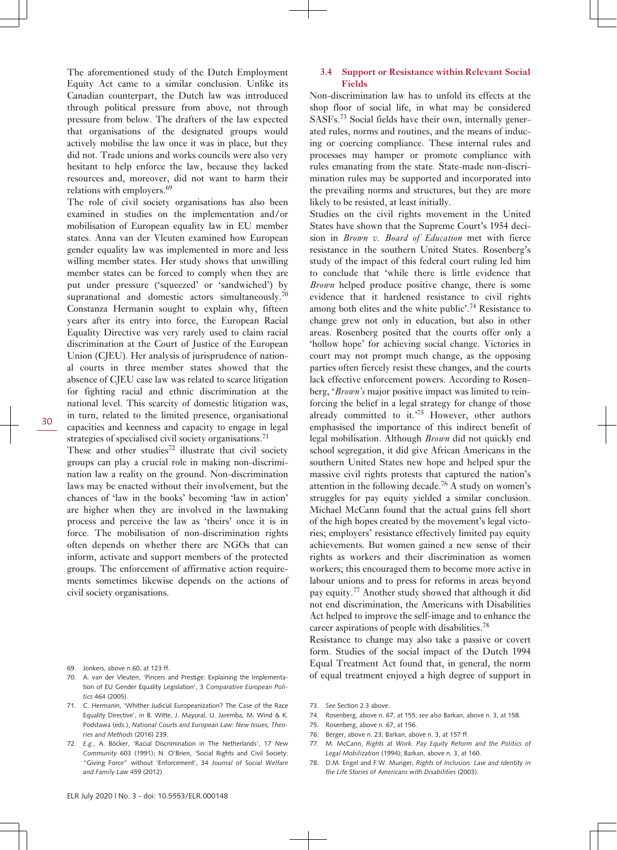The aforementioned study of the Dutch Employment Equity Act came to a similar conclusion. Unlike its Canadian counterpart, the Dutch law was introduced through political pressure from above, not through pressure from below. The drafters of the law expected that organisations of the designated groups would actively mobilise the law once it was in place, but they did not. Trade unions and works councils were also very hesitant to help enforce the law, because they lacked resources and, moreover, did not want to harm their relations with employers.<sup>69</sup>

The role of civil society organisations has also been examined in studies on the implementation and/or mobilisation of European equality law in EU member states. Anna van der Vleuten examined how European gender equality law was implemented in more and less willing member states. Her study shows that unwilling member states can be forced to comply when they are put under pressure ('squeezed' or 'sandwiched') by supranational and domestic actors simultaneously.<sup>70</sup> Constanza Hermanin sought to explain why, fifteen years after its entry into force, the European Racial Equality Directive was very rarely used to claim racial discrimination at the Court of Justice of the European Union (CJEU). Her analysis of jurisprudence of national courts in three member states showed that the absence of CJEU case law was related to scarce litigation for fighting racial and ethnic discrimination at the national level. This scarcity of domestic litigation was, in turn, related to the limited presence, organisational capacities and keenness and capacity to engage in legal strategies of specialised civil society organisations.<sup>71</sup>

30

These and other studies<sup>72</sup> illustrate that civil society groups can play a crucial role in making non-discrimination law a reality on the ground. Non-discrimination laws may be enacted without their involvement, but the chances of 'law in the books' becoming 'law in action' are higher when they are involved in the lawmaking process and perceive the law as 'theirs' once it is in force. The mobilisation of non-discrimination rights often depends on whether there are NGOs that can inform, activate and support members of the protected groups. The enforcement of affirmative action requirements sometimes likewise depends on the actions of civil society organisations.

- 69. Jonkers, above n.60, at 123 ff.
- 70. A. van der Vleuten, 'Pincers and Prestige: Explaining the Implementation of EU Gender Equality Legislation', 3 *Comparative European Politics* 464 (2005).
- 71. C. Hermanin, 'Whither Judicial Europeanization? The Case of the Race Equality Directive', in B. Witte, J. Mayoral, U. Jaremba, M. Wind & K. Podstawa (eds.), *National Courts and European Law: New Issues, Theories and Methods* (2016) 239.
- 72. *E.g.*, A. Böcker, 'Racial Discrimination in The Netherlands', 17 *New Community* 603 (1991); N. O'Brien, 'Social Rights and Civil Society: "Giving Force" without 'Enforcement', 34 *Journal of Social Welfare and Family Law* 459 (2012).

#### **3.4 Support or Resistance within Relevant Social Fields**

Non-discrimination law has to unfold its effects at the shop floor of social life, in what may be considered SASFs.73 Social fields have their own, internally generated rules, norms and routines, and the means of inducing or coercing compliance. These internal rules and processes may hamper or promote compliance with rules emanating from the state. State-made non-discrimination rules may be supported and incorporated into the prevailing norms and structures, but they are more likely to be resisted, at least initially.

Studies on the civil rights movement in the United States have shown that the Supreme Court's 1954 decision in *Brown v. Board of Education* met with fierce resistance in the southern United States. Rosenberg's study of the impact of this federal court ruling led him to conclude that 'while there is little evidence that *Brown* helped produce positive change, there is some evidence that it hardened resistance to civil rights among both elites and the white public'.<sup>74</sup> Resistance to change grew not only in education, but also in other areas. Rosenberg posited that the courts offer only a 'hollow hope' for achieving social change. Victories in court may not prompt much change, as the opposing parties often fiercely resist these changes, and the courts lack effective enforcement powers. According to Rosenberg, '*Brown's* major positive impact was limited to reinforcing the belief in a legal strategy for change of those already committed to it.'75 However, other authors emphasised the importance of this indirect benefit of legal mobilisation. Although *Brown* did not quickly end school segregation, it did give African Americans in the southern United States new hope and helped spur the massive civil rights protests that captured the nation's attention in the following decade.<sup>76</sup> A study on women's struggles for pay equity yielded a similar conclusion. Michael McCann found that the actual gains fell short of the high hopes created by the movement's legal victories; employers' resistance effectively limited pay equity achievements. But women gained a new sense of their rights as workers and their discrimination as women workers; this encouraged them to become more active in labour unions and to press for reforms in areas beyond pay equity.<sup>77</sup> Another study showed that although it did not end discrimination, the Americans with Disabilities Act helped to improve the self-image and to enhance the career aspirations of people with disabilities.<sup>78</sup>

Resistance to change may also take a passive or covert form. Studies of the social impact of the Dutch 1994 Equal Treatment Act found that, in general, the norm of equal treatment enjoyed a high degree of support in

- 74. Rosenberg, above n. 67, at 155; *see also* Barkan, above n. 3, at 158.
- 75. Rosenberg, above n. 67, at 156.
- 76. Berger, above n. 23; Barkan, above n. 3, at 157 ff.
- 77. M. McCann, *Rights at Work. Pay Equity Reform and the Politics of Legal Mobilization* (1994); Barkan, above n. 3, at 160.
- 78. D.M. Engel and F.W. Munger, *Rights of Inclusion: Law and Identity in the Life Stories of Americans with Disabilities* (2003).

<sup>73.</sup> *See* Section 2.3 above.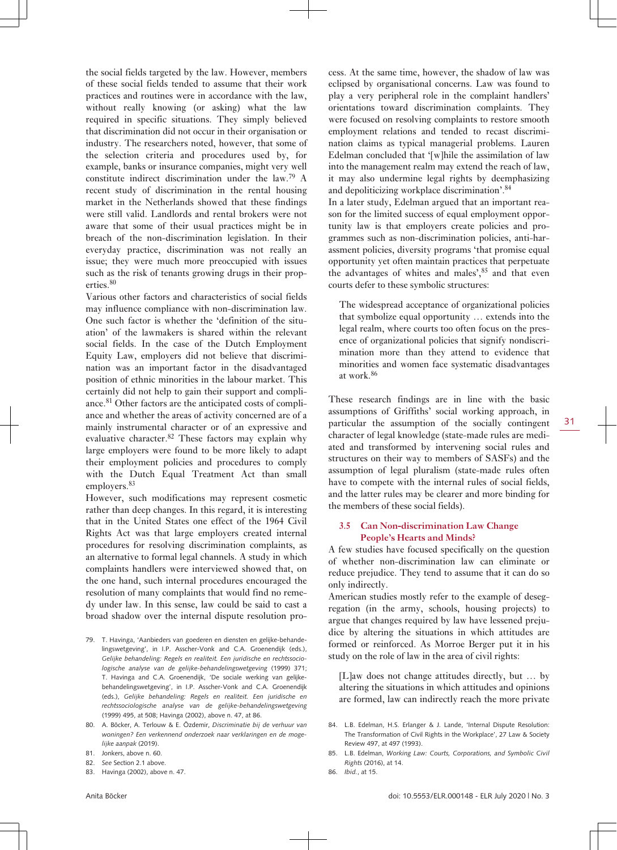the social fields targeted by the law. However, members of these social fields tended to assume that their work practices and routines were in accordance with the law, without really knowing (or asking) what the law required in specific situations. They simply believed that discrimination did not occur in their organisation or industry. The researchers noted, however, that some of the selection criteria and procedures used by, for example, banks or insurance companies, might very well constitute indirect discrimination under the law.<sup>79</sup> A recent study of discrimination in the rental housing market in the Netherlands showed that these findings were still valid. Landlords and rental brokers were not aware that some of their usual practices might be in breach of the non-discrimination legislation. In their everyday practice, discrimination was not really an issue; they were much more preoccupied with issues such as the risk of tenants growing drugs in their properties.<sup>80</sup>

Various other factors and characteristics of social fields may influence compliance with non-discrimination law. One such factor is whether the 'definition of the situation' of the lawmakers is shared within the relevant social fields. In the case of the Dutch Employment Equity Law, employers did not believe that discrimination was an important factor in the disadvantaged position of ethnic minorities in the labour market. This certainly did not help to gain their support and compliance.<sup>81</sup> Other factors are the anticipated costs of compliance and whether the areas of activity concerned are of a mainly instrumental character or of an expressive and evaluative character.  $82$  These factors may explain why large employers were found to be more likely to adapt their employment policies and procedures to comply with the Dutch Equal Treatment Act than small employers.<sup>83</sup>

However, such modifications may represent cosmetic rather than deep changes. In this regard, it is interesting that in the United States one effect of the 1964 Civil Rights Act was that large employers created internal procedures for resolving discrimination complaints, as an alternative to formal legal channels. A study in which complaints handlers were interviewed showed that, on the one hand, such internal procedures encouraged the resolution of many complaints that would find no remedy under law. In this sense, law could be said to cast a broad shadow over the internal dispute resolution pro-

- 79. T. Havinga, 'Aanbieders van goederen en diensten en gelijke-behandelingswetgeving', in I.P. Asscher-Vonk and C.A. Groenendijk (eds.), *Gelijke behandeling: Regels en realiteit. Een juridische en rechtssociologische analyse van de gelijke-behandelingswetgeving* (1999) 371; T. Havinga and C.A. Groenendijk, 'De sociale werking van gelijkebehandelingswetgeving', in I.P. Asscher-Vonk and C.A. Groenendijk (eds.), *Gelijke behandeling: Regels en realiteit. Een juridische en rechtssociologische analyse van de gelijke-behandelingswetgeving* (1999) 495, at 508; Havinga (2002), above n. 47, at 86.
- 80. A. Böcker, A. Terlouw & E. Özdemir, *Discriminatie bij de verhuur van woningen? Een verkennend onderzoek naar verklaringen en de mogelijke aanpak* (2019).
- 81. Jonkers, above n. 60.
- 82. *See* Section 2.1 above.
- 83. Havinga (2002), above n. 47.

cess. At the same time, however, the shadow of law was eclipsed by organisational concerns. Law was found to play a very peripheral role in the complaint handlers' orientations toward discrimination complaints. They were focused on resolving complaints to restore smooth employment relations and tended to recast discrimination claims as typical managerial problems. Lauren Edelman concluded that '[w]hile the assimilation of law into the management realm may extend the reach of law, it may also undermine legal rights by deemphasizing and depoliticizing workplace discrimination'.<sup>84</sup>

In a later study, Edelman argued that an important reason for the limited success of equal employment opportunity law is that employers create policies and programmes such as non-discrimination policies, anti-harassment policies, diversity programs 'that promise equal opportunity yet often maintain practices that perpetuate the advantages of whites and males', $85$  and that even courts defer to these symbolic structures:

The widespread acceptance of organizational policies that symbolize equal opportunity … extends into the legal realm, where courts too often focus on the presence of organizational policies that signify nondiscrimination more than they attend to evidence that minorities and women face systematic disadvantages at work.<sup>86</sup>

These research findings are in line with the basic assumptions of Griffiths' social working approach, in particular the assumption of the socially contingent character of legal knowledge (state-made rules are mediated and transformed by intervening social rules and structures on their way to members of SASFs) and the assumption of legal pluralism (state-made rules often have to compete with the internal rules of social fields, and the latter rules may be clearer and more binding for the members of these social fields).

### **3.5 Can Non-discrimination Law Change People's Hearts and Minds?**

A few studies have focused specifically on the question of whether non-discrimination law can eliminate or reduce prejudice. They tend to assume that it can do so only indirectly.

American studies mostly refer to the example of desegregation (in the army, schools, housing projects) to argue that changes required by law have lessened prejudice by altering the situations in which attitudes are formed or reinforced. As Morroe Berger put it in his study on the role of law in the area of civil rights:

[L]aw does not change attitudes directly, but … by altering the situations in which attitudes and opinions are formed, law can indirectly reach the more private

86. *Ibid.*, at 15.

<sup>84.</sup> L.B. Edelman, H.S. Erlanger & J. Lande, 'Internal Dispute Resolution: The Transformation of Civil Rights in the Workplace', 27 Law & Society Review 497, at 497 (1993).

<sup>85.</sup> L.B. Edelman, *Working Law: Courts, Corporations, and Symbolic Civil Rights* (2016), at 14.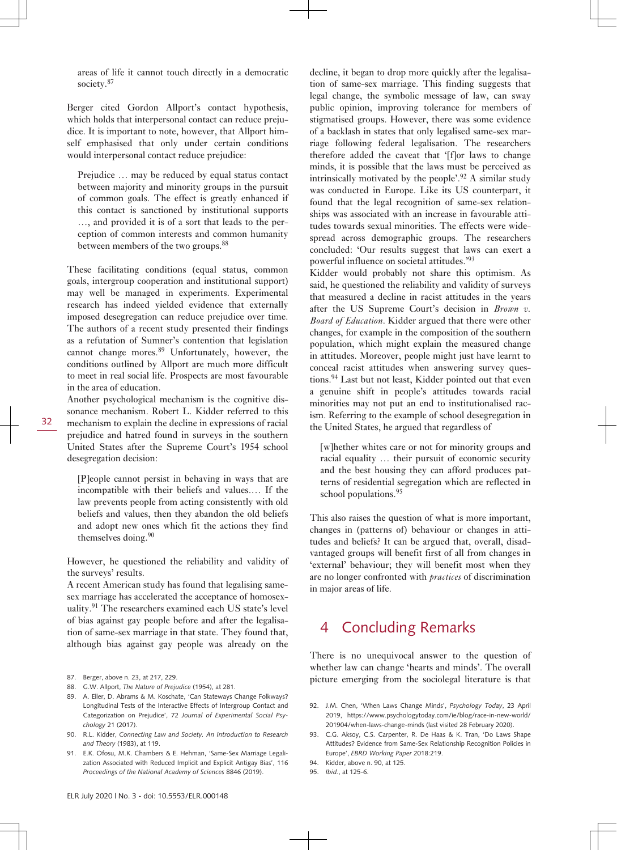areas of life it cannot touch directly in a democratic society.<sup>87</sup>

Berger cited Gordon Allport's contact hypothesis, which holds that interpersonal contact can reduce prejudice. It is important to note, however, that Allport himself emphasised that only under certain conditions would interpersonal contact reduce prejudice:

Prejudice … may be reduced by equal status contact between majority and minority groups in the pursuit of common goals. The effect is greatly enhanced if this contact is sanctioned by institutional supports …, and provided it is of a sort that leads to the perception of common interests and common humanity between members of the two groups.<sup>88</sup>

These facilitating conditions (equal status, common goals, intergroup cooperation and institutional support) may well be managed in experiments. Experimental research has indeed yielded evidence that externally imposed desegregation can reduce prejudice over time. The authors of a recent study presented their findings as a refutation of Sumner's contention that legislation cannot change mores.<sup>89</sup> Unfortunately, however, the conditions outlined by Allport are much more difficult to meet in real social life. Prospects are most favourable in the area of education.

Another psychological mechanism is the cognitive dissonance mechanism. Robert L. Kidder referred to this mechanism to explain the decline in expressions of racial prejudice and hatred found in surveys in the southern United States after the Supreme Court's 1954 school desegregation decision:

[P]eople cannot persist in behaving in ways that are incompatible with their beliefs and values.… If the law prevents people from acting consistently with old beliefs and values, then they abandon the old beliefs and adopt new ones which fit the actions they find themselves doing.<sup>90</sup>

However, he questioned the reliability and validity of the surveys' results.

A recent American study has found that legalising samesex marriage has accelerated the acceptance of homosexuality.<sup>91</sup> The researchers examined each US state's level of bias against gay people before and after the legalisation of same-sex marriage in that state. They found that, although bias against gay people was already on the

- 89. A. Eller, D. Abrams & M. Koschate, 'Can Stateways Change Folkways? Longitudinal Tests of the Interactive Effects of Intergroup Contact and Categorization on Prejudice', 72 *Journal of Experimental Social Psychology* 21 (2017).
- 90. R.L. Kidder, *Connecting Law and Society. An Introduction to Research and Theory* (1983), at 119.
- 91. E.K. Ofosu, M.K. Chambers & E. Hehman, 'Same-Sex Marriage Legalization Associated with Reduced Implicit and Explicit Antigay Bias', 116 *Proceedings of the National Academy of Sciences* 8846 (2019).

decline, it began to drop more quickly after the legalisation of same-sex marriage. This finding suggests that legal change, the symbolic message of law, can sway public opinion, improving tolerance for members of stigmatised groups. However, there was some evidence of a backlash in states that only legalised same-sex marriage following federal legalisation. The researchers therefore added the caveat that '[f]or laws to change minds, it is possible that the laws must be perceived as intrinsically motivated by the people'.<sup>92</sup> A similar study was conducted in Europe. Like its US counterpart, it found that the legal recognition of same-sex relationships was associated with an increase in favourable attitudes towards sexual minorities. The effects were widespread across demographic groups. The researchers concluded: 'Our results suggest that laws can exert a powerful influence on societal attitudes.'<sup>93</sup>

Kidder would probably not share this optimism. As said, he questioned the reliability and validity of surveys that measured a decline in racist attitudes in the years after the US Supreme Court's decision in *Brown v. Board of Education*. Kidder argued that there were other changes, for example in the composition of the southern population, which might explain the measured change in attitudes. Moreover, people might just have learnt to conceal racist attitudes when answering survey questions.<sup>94</sup> Last but not least, Kidder pointed out that even a genuine shift in people's attitudes towards racial minorities may not put an end to institutionalised racism. Referring to the example of school desegregation in the United States, he argued that regardless of

[w]hether whites care or not for minority groups and racial equality … their pursuit of economic security and the best housing they can afford produces patterns of residential segregation which are reflected in school populations.<sup>95</sup>

This also raises the question of what is more important, changes in (patterns of) behaviour or changes in attitudes and beliefs? It can be argued that, overall, disadvantaged groups will benefit first of all from changes in 'external' behaviour; they will benefit most when they are no longer confronted with *practices* of discrimination in major areas of life.

### 4 Concluding Remarks

There is no unequivocal answer to the question of whether law can change 'hearts and minds'. The overall picture emerging from the sociolegal literature is that

- 93. C.G. Aksoy, C.S. Carpenter, R. De Haas & K. Tran, 'Do Laws Shape Attitudes? Evidence from Same-Sex Relationship Recognition Policies in Europe', *EBRD Working Paper* 2018:219.
- 94. Kidder, above n. 90, at 125.
- 95. *Ibid.*, at 125-6.

<sup>87.</sup> Berger, above n. 23, at 217, 229.

<sup>88.</sup> G.W. Allport, *The Nature of Prejudice* (1954), at 281.

<sup>92.</sup> J.M. Chen, 'When Laws Change Minds', *Psychology Today*, 23 April 2019, [https://www.psychologytoday.com/ie/blog/race-in-new-world/](https://www.psychologytoday.com/ie/blog/race-in-new-world/201904/when-laws-change-minds) [201904/when-laws-change-minds](https://www.psychologytoday.com/ie/blog/race-in-new-world/201904/when-laws-change-minds) (last visited 28 February 2020).